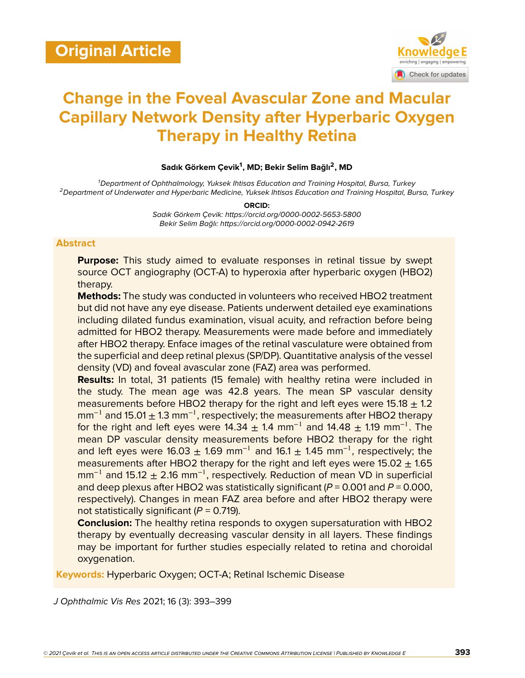

# **Change in the Foveal Avascular Zone and Macular Capillary Network Density after Hyperbaric Oxygen Therapy in Healthy Retina**

## **Sadık Görkem Çevik<sup>1</sup> , MD; Bekir Selim Bağlı<sup>2</sup> , MD**

*<sup>1</sup>Department of Ophthalmology, Yuksek Ihtisas Education and Training Hospital, Bursa, Turkey <sup>2</sup>Department of Underwater and Hyperbaric Medicine, Yuksek Ihtisas Education and Training Hospital, Bursa, Turkey*

**ORCID:**

*Sadık Görkem Çevik: https://orcid.org/0000-0002-5653-5800 Bekir Selim Bağlı: https://orcid.org/0000-0002-0942-2619*

#### **Abstract**

**Purpose:** This study aimed to evaluate responses in retinal tissue by swept source OCT angiography (OCT-A) to hyperoxia after hyperbaric oxygen (HBO2) therapy.

**Methods:** The study was conducted in volunteers who received HBO2 treatment but did not have any eye disease. Patients underwent detailed eye examinations including dilated fundus examination, visual acuity, and refraction before being admitted for HBO2 therapy. Measurements were made before and immediately after HBO2 therapy. Enface images of the retinal vasculature were obtained from the superficial and deep retinal plexus (SP/DP). Quantitative analysis of the vessel density (VD) and foveal avascular zone (FAZ) area was performed.

**Results:** In total, 31 patients (15 female) with healthy retina were included in the study. The mean age was 42.8 years. The mean SP vascular density measurements before HBO2 therapy for the right and left eyes were 15.18  $\pm$  1.2  $mm^{-1}$  and 15.01  $\pm$  1.3 mm<sup>-1</sup>, respectively; the measurements after HBO2 therapy for the right and left eyes were 14.34  $\pm$  1.4 mm<sup>-1</sup> and 14.48  $\pm$  1.19 mm<sup>-1</sup>. The mean DP vascular density measurements before HBO2 therapy for the right and left eyes were 16.03  $\pm$  1.69 mm<sup>-1</sup> and 16.1  $\pm$  1.45 mm<sup>-1</sup>, respectively; the measurements after HBO2 therapy for the right and left eyes were  $15.02 + 1.65$  $mm^{-1}$  and 15.12  $\pm$  2.16 mm<sup>-1</sup>, respectively. Reduction of mean VD in superficial and deep plexus after HBO2 was statistically significant (*P* = 0.001 and *P* = 0.000, respectively). Changes in mean FAZ area before and after HBO2 therapy were not statistically significant (*P* = 0.719).

**Conclusion:** The healthy retina responds to oxygen supersaturation with HBO2 therapy by eventually decreasing vascular density in all layers. These findings may be important for further studies especially related to retina and choroidal oxygenation.

**Keywords:** Hyperbaric Oxygen; OCT-A; Retinal Ischemic Disease

*J Ophthalmic Vis Res* 2021; 16 (3): 393–399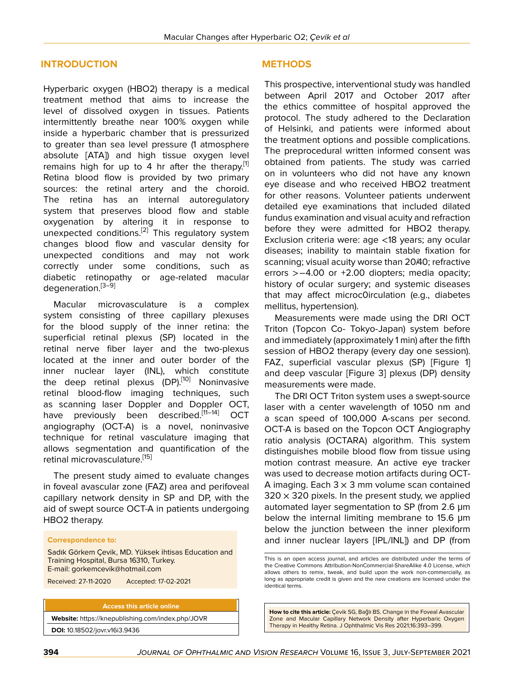#### **INTRODUCTION**

Hyperbaric oxygen (HBO2) therapy is a medical treatment method that aims to increase the level of dissolved oxygen in tissues. Patients intermittently breathe near 100% oxygen while inside a hyperbaric chamber that is pressurized to greater than sea level pressure (1 atmosphere absolute [ATA]) and high tissue oxygen level remains high for up to 4 hr after the therapy.<sup>[[1](#page-5-0)]</sup> Retina blood flow is provided by two primary sources: the retinal artery and the choroid. The retina has an internal autoregulatory system that preserves blood flow and stable oxygenation by altering it in response to unexpected conditions.<sup>[\[2\]](#page-5-1)</sup> This regulatory system changes blood flow and vascular density for unexpected conditions and may not work correctly under some conditions, such as diabetic retinopathy or age-related macular degeneration.<sup>[\[3–](#page-5-2)[9\]](#page-5-3)</sup>

Macular microvasculature is a complex system consisting of three capillary plexuses for the blood supply of the inner retina: the superficial retinal plexus (SP) located in the retinal nerve fiber layer and the two-plexus located at the inner and outer border of the inner nuclear layer (INL), which constitute the deep retinal plexus  $(DP)$ .<sup>[\[10](#page-5-4)]</sup> Noninvasive retinal blood-flow imaging techniques, such as scanning laser Doppler and Doppler OCT, have previously been described.<sup>[\[11](#page-5-5)-[14\]](#page-5-6)</sup> OCT angiography (OCT-A) is a novel, noninvasive technique for retinal vasculature imaging that allows segmentation and quantification of the retinal microvasculature.<sup>[\[15](#page-5-7)]</sup>

The present study aimed to evaluate changes in foveal avascular zone (FAZ) area and perifoveal capillary network density in SP and DP, with the aid of swept source OCT-A in patients undergoing HBO2 therapy.

#### **Correspondence to:**

Sadık Görkem Çevik, MD. Yüksek İhtisas Education and Training Hospital, Bursa 16310, Turkey. E-mail: gorkemcevik@hotmail.com

Received: 27-11-2020 Accepted: 17-02-2021

**Access this article online Website:** <https://knepublishing.com/index.php/JOVR> **DOI:** 10.18502/jovr.v16i3.9436

#### **METHODS**

This prospective, interventional study was handled between April 2017 and October 2017 after the ethics committee of hospital approved the protocol. The study adhered to the Declaration of Helsinki, and patients were informed about the treatment options and possible complications. The preprocedural written informed consent was obtained from patients. The study was carried on in volunteers who did not have any known eye disease and who received HBO2 treatment for other reasons. Volunteer patients underwent detailed eye examinations that included dilated fundus examination and visual acuity and refraction before they were admitted for HBO2 therapy. Exclusion criteria were: age <18 years; any ocular diseases; inability to maintain stable fixation for scanning; visual acuity worse than 20/40; refractive errors >−4.00 or +2.00 diopters; media opacity; history of ocular surgery; and systemic diseases that may affect microc0irculation (e.g., diabetes mellitus, hypertension).

Measurements were made using the DRI OCT Triton (Topcon Co- Tokyo-Japan) system before and immediately (approximately 1 min) after the fifth session of HBO2 therapy (every day one session). FAZ, superficial vascular plexus (SP) [Figure 1] and deep vascular [Figure 3] plexus (DP) density measurements were made.

The DRI OCT Triton system uses a swept-source laser with a center wavelength of 1050 nm and a scan speed of 100,000 A-scans per second. OCT-A is based on the Topcon OCT Angiography ratio analysis (OCTARA) algorithm. This system distinguishes mobile blood flow from tissue using motion contrast measure. An active eye tracker was used to decrease motion artifacts during OCT-A imaging. Each  $3 \times 3$  mm volume scan contained  $320 \times 320$  pixels. In the present study, we applied automated layer segmentation to SP (from 2.6 μm below the internal limiting membrane to 15.6 μm below the junction between the inner plexiform and inner nuclear layers [IPL/INL]) and DP (from

This is an open access journal, and articles are distributed under the terms of the Creative Commons Attribution-NonCommercial-ShareAlike 4.0 License, which allows others to remix, tweak, and build upon the work non-commercially, as long as appropriate credit is given and the new creations are licensed under the identical terms.

**How to cite this article:** Çevik SG, Bağlı BS. Change in the Foveal Avascular Zone and Macular Capillary Network Density after Hyperbaric Oxygen Therapy in Healthy Retina. J Ophthalmic Vis Res 2021;16:393–399.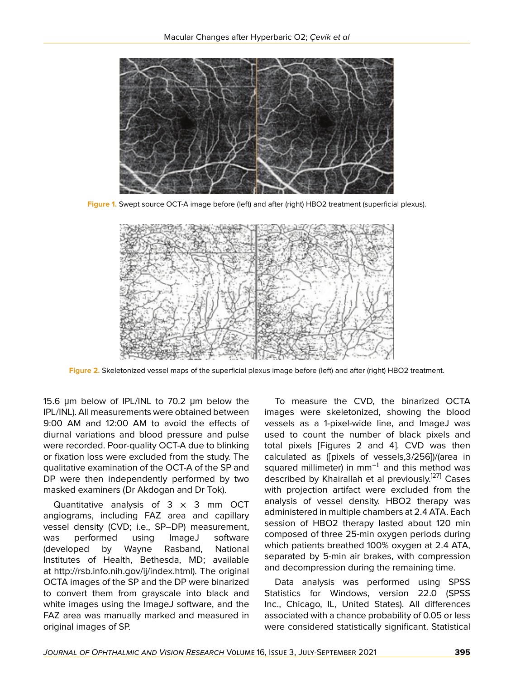

**Figure 1.** Swept source OCT-A image before (left) and after (right) HBO2 treatment (superficial plexus).



**Figure 2.** Skeletonized vessel maps of the superficial plexus image before (left) and after (right) HBO2 treatment.

15.6 μm below of IPL/INL to 70.2 μm below the IPL/INL). All measurements were obtained between 9:00 AM and 12:00 AM to avoid the effects of diurnal variations and blood pressure and pulse were recorded. Poor-quality OCT-A due to blinking or fixation loss were excluded from the study. The qualitative examination of the OCT-A of the SP and DP were then independently performed by two masked examiners (Dr Akdogan and Dr Tok).

Quantitative analysis of  $3 \times 3$  mm OCT angiograms, including FAZ area and capillary vessel density (CVD; i.e., SP–DP) measurement, was performed using ImageJ software (developed by Wayne Rasband, National Institutes of Health, Bethesda, MD; available at [http://rsb.info.nih.gov/ij/index.html\)](http://rsb.info.nih.gov/ij/index.html). The original OCTA images of the SP and the DP were binarized to convert them from grayscale into black and white images using the ImageJ software, and the FAZ area was manually marked and measured in original images of SP.

To measure the CVD, the binarized OCTA images were skeletonized, showing the blood vessels as a 1-pixel-wide line, and ImageJ was used to count the number of black pixels and total pixels [Figures 2 and 4]. CVD was then calculated as ([pixels of vessels,3/256])/(area in squared millimeter) in  $mm^{-1}$  and this method was described by Khairallah et al previously.<sup>[\[27\]](#page-6-0)</sup> Cases with projection artifact were excluded from the analysis of vessel density. HBO2 therapy was administered in multiple chambers at 2.4 ATA. Each session of HBO2 therapy lasted about 120 min composed of three 25-min oxygen periods during which patients breathed 100% oxygen at 2.4 ATA, separated by 5-min air brakes, with compression and decompression during the remaining time.

Data analysis was performed using SPSS Statistics for Windows, version 22.0 (SPSS Inc., Chicago, IL, United States). All differences associated with a chance probability of 0.05 or less were considered statistically significant. Statistical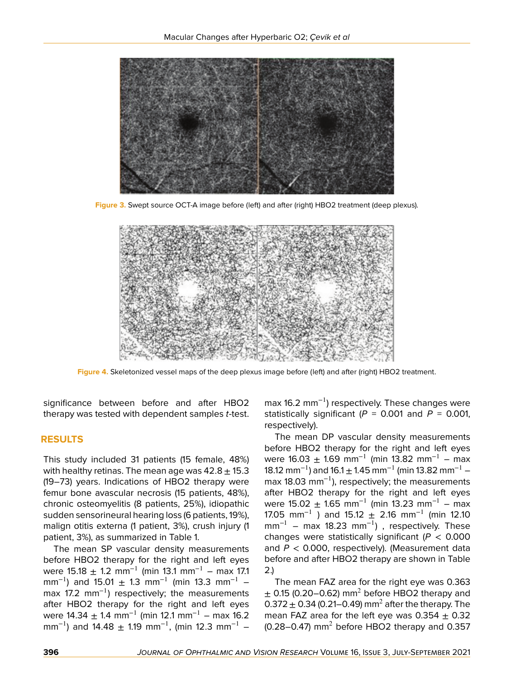

**Figure 3.** Swept source OCT-A image before (left) and after (right) HBO2 treatment (deep plexus).



**Figure 4.** Skeletonized vessel maps of the deep plexus image before (left) and after (right) HBO2 treatment.

significance between before and after HBO2 therapy was tested with dependent samples *t*-test.

## **RESULTS**

This study included 31 patients (15 female, 48%) with healthy retinas. The mean age was  $42.8 \pm 15.3$ (19–73) years. Indications of HBO2 therapy were femur bone avascular necrosis (15 patients, 48%), chronic osteomyelitis (8 patients, 25%), idiopathic sudden sensorineural hearing loss (6 patients, 19%), malign otitis externa (1 patient, 3%), crush injury (1 patient, 3%), as summarized in Table 1.

The mean SP vascular density measurements before HBO2 therapy for the right and left eyes were 15.18  $\pm$  1.2 mm<sup>-1</sup> (min 13.1 mm<sup>-1</sup> – max 17.1 mm<sup>-1</sup>) and 15.01  $\pm$  1.3 mm<sup>-1</sup> (min 13.3 mm<sup>-1</sup> – max 17.2 mm<sup>-1</sup>) respectively; the measurements after HBO2 therapy for the right and left eyes were  $14.34 \pm 1.4$  mm<sup>-1</sup> (min 12.1 mm<sup>-1</sup> – max 16.2 mm<sup>-1</sup>) and 14.48  $\pm$  1.19 mm<sup>-1</sup>, (min 12.3 mm<sup>-1</sup> –

max 16.2 mm<sup>-1</sup>) respectively. These changes were statistically significant  $(P = 0.001$  and  $P = 0.001$ , respectively).

The mean DP vascular density measurements before HBO2 therapy for the right and left eyes were 16.03  $\pm$  1.69 mm<sup>-1</sup> (min 13.82 mm<sup>-1</sup> – max 18.12 mm<sup>-1</sup>) and 16.1  $\pm$  1.45 mm<sup>-1</sup> (min 13.82 mm<sup>-1</sup> – max 18.03 mm<sup>-1</sup>), respectively; the measurements after HBO2 therapy for the right and left eyes were 15.02  $\pm$  1.65 mm<sup>-1</sup> (min 13.23 mm<sup>-1</sup> – max 17.05 mm<sup>-1</sup> ) and 15.12  $\pm$  2.16 mm<sup>-1</sup> (min 12.10  $mm^{-1}$  – max 18.23 mm<sup>-1</sup>), respectively. These changes were statistically significant (*P* < 0.000 and *P* < 0.000, respectively). (Measurement data before and after HBO2 therapy are shown in Table 2.)

The mean FAZ area for the right eye was 0.363  $\pm$  0.15 (0.20–0.62) mm<sup>2</sup> before HBO2 therapy and 0.372  $\pm$  0.34 (0.21–0.49) mm<sup>2</sup> after the therapy. The mean FAZ area for the left eye was  $0.354 \pm 0.32$  $(0.28 - 0.47)$  mm<sup>2</sup> before HBO2 therapy and 0.357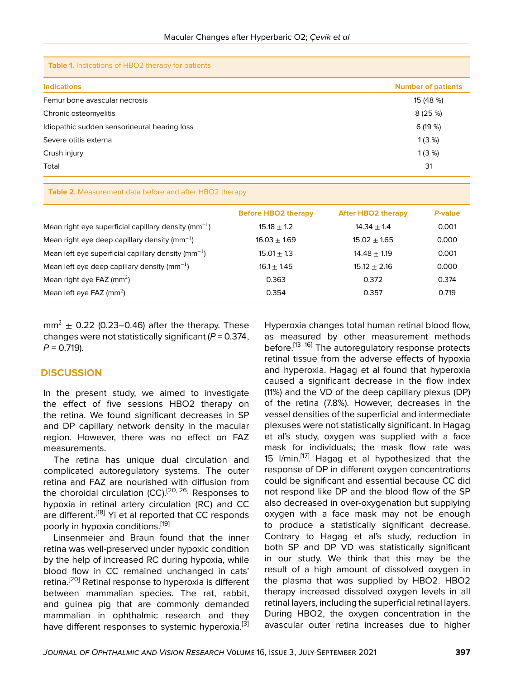**Table 1.** Indications of HBO2 therapy for patients

| <b>Indications</b>                           | <b>Number of patients</b> |
|----------------------------------------------|---------------------------|
| Femur bone avascular necrosis                | 15 (48 %)                 |
| Chronic osteomyelitis                        | 8(25%)                    |
| Idiopathic sudden sensorineural hearing loss | 6(19%)                    |
| Severe otitis externa                        | 1(3%)                     |
| Crush injury                                 | 1(3%)                     |
| Total                                        | 31                        |
|                                              |                           |

**Table 2.** Measurement data before and after HBO2 therapy

|                                                          | <b>Before HBO2 therapy</b> | <b>After HBO2 therapy</b> | P-value |
|----------------------------------------------------------|----------------------------|---------------------------|---------|
| Mean right eye superficial capillary density $(mm^{-1})$ | $15.18 \pm 1.2$            | $14.34 + 1.4$             | 0.001   |
| Mean right eye deep capillary density ( $mm^{-1}$ )      | $16.03 \pm 1.69$           | $15.02 + 1.65$            | 0.000   |
| Mean left eye superficial capillary density $(mm^{-1})$  | $15.01 \pm 1.3$            | $14.48 + 1.19$            | 0.001   |
| Mean left eye deep capillary density $(mm^{-1})$         | $16.1 \pm 1.45$            | $15.12 \pm 2.16$          | 0.000   |
| Mean right eye FAZ $\text{mm}^2$ )                       | 0.363                      | 0.372                     | 0.374   |
| Mean left eye FAZ $(mm^2)$                               | 0.354                      | 0.357                     | 0.719   |

 $mm<sup>2</sup> \pm 0.22$  (0.23–0.46) after the therapy. These changes were not statistically significant (*P* = 0.374, *P* = 0.719).

#### **DISCUSSION**

In the present study, we aimed to investigate the effect of five sessions HBO2 therapy on the retina. We found significant decreases in SP and DP capillary network density in the macular region. However, there was no effect on FAZ measurements.

The retina has unique dual circulation and complicated autoregulatory systems. The outer retina and FAZ are nourished with diffusion from the choroidal circulation (CC).<sup>[\[20](#page-5-8), [26](#page-6-1)]</sup> Responses to hypoxia in retinal artery circulation (RC) and CC are different.<sup>[[18\]](#page-5-9)</sup> Yi et al reported that CC responds poorly in hypoxia conditions.<sup>[[19](#page-5-10)]</sup>

Linsenmeier and Braun found that the inner retina was well-preserved under hypoxic condition by the help of increased RC during hypoxia, while blood flow in CC remained unchanged in cats' retina.<sup>[\[20](#page-5-8)]</sup> Retinal response to hyperoxia is different between mammalian species. The rat, rabbit, and guinea pig that are commonly demanded mammalian in ophthalmic research and they have different responses to systemic hyperoxia.<sup>[\[3](#page-5-2)]</sup>

Hyperoxia changes total human retinal blood flow, as measured by other measurement methods before.<sup>[\[13](#page-5-11)[–16\]](#page-5-12)</sup> The autoregulatory response protects retinal tissue from the adverse effects of hypoxia and hyperoxia. Hagag et al found that hyperoxia caused a significant decrease in the flow index (11%) and the VD of the deep capillary plexus (DP) of the retina (7.8%). However, decreases in the vessel densities of the superficial and intermediate plexuses were not statistically significant. In Hagag et al's study, oxygen was supplied with a face mask for individuals; the mask flow rate was 15  $I/min.$ <sup>[\[17](#page-5-13)]</sup> Hagag et al hypothesized that the response of DP in different oxygen concentrations could be significant and essential because CC did not respond like DP and the blood flow of the SP also decreased in over-oxygenation but supplying oxygen with a face mask may not be enough to produce a statistically significant decrease. Contrary to Hagag et al's study, reduction in both SP and DP VD was statistically significant in our study. We think that this may be the result of a high amount of dissolved oxygen in the plasma that was supplied by HBO2. HBO2 therapy increased dissolved oxygen levels in all retinal layers, including the superficial retinal layers. During HBO2, the oxygen concentration in the avascular outer retina increases due to higher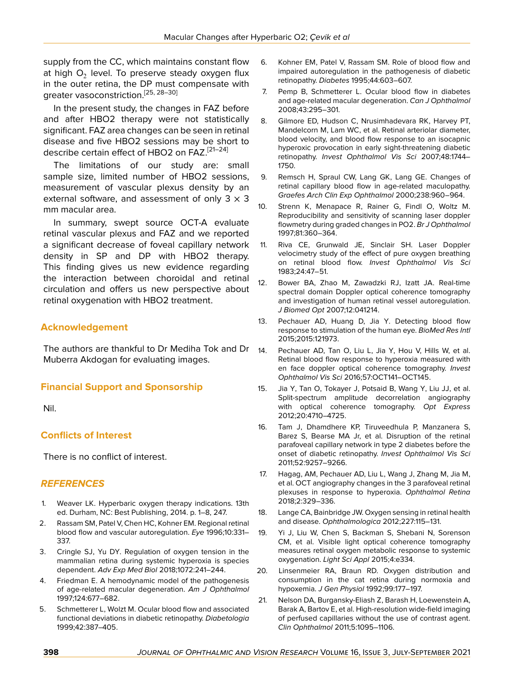supply from the CC, which maintains constant flow at high  $\mathsf{O}_2$  level. To preserve steady oxygen flux in the outer retina, the DP must compensate with greater vasoconstriction.[[25](#page-6-2), [28](#page-6-3)[–30](#page-6-4)]

In the present study, the changes in FAZ before and after HBO2 therapy were not statistically significant. FAZ area changes can be seen in retinal disease and five HBO2 sessions may be short to describe certain effect of HBO2 on FAZ.<sup>[[21](#page-5-14)[–24](#page-6-5)]</sup>

The limitations of our study are: small sample size, limited number of HBO2 sessions, measurement of vascular plexus density by an external software, and assessment of only  $3 \times 3$ mm macular area.

In summary, swept source OCT-A evaluate retinal vascular plexus and FAZ and we reported a significant decrease of foveal capillary network density in SP and DP with HBO2 therapy. This finding gives us new evidence regarding the interaction between choroidal and retinal circulation and offers us new perspective about retinal oxygenation with HBO2 treatment.

# **Acknowledgement**

The authors are thankful to Dr Mediha Tok and Dr Muberra Akdogan for evaluating images.

## **Financial Support and Sponsorship**

Nil.

# **Conflicts of Interest**

There is no conflict of interest.

## *REFERENCES*

- <span id="page-5-0"></span>1. Weaver LK. Hyperbaric oxygen therapy indications. 13th ed. Durham, NC: Best Publishing, 2014. p. 1–8, 247.
- <span id="page-5-1"></span>2. Rassam SM, Patel V, Chen HC, Kohner EM. Regional retinal blood flow and vascular autoregulation. *Eye* 1996;10:331– 337.
- <span id="page-5-2"></span>3. Cringle SJ, Yu DY. Regulation of oxygen tension in the mammalian retina during systemic hyperoxia is species dependent. *Adv Exp Med Biol* 2018;1072:241–244.
- 4. Friedman E. A hemodynamic model of the pathogenesis of age-related macular degeneration. *Am J Ophthalmol* 1997;124:677–682.
- 5. Schmetterer L, Wolzt M. Ocular blood flow and associated functional deviations in diabetic retinopathy. *Diabetologia* 1999;42:387–405.
- 6. Kohner EM, Patel V, Rassam SM. Role of blood flow and impaired autoregulation in the pathogenesis of diabetic retinopathy. *Diabetes* 1995;44:603–607.
- 7. Pemp B, Schmetterer L. Ocular blood flow in diabetes and age-related macular degeneration. *Can J Ophthalmol* 2008;43:295–301.
- 8. Gilmore ED, Hudson C, Nrusimhadevara RK, Harvey PT, Mandelcorn M, Lam WC, et al. Retinal arteriolar diameter, blood velocity, and blood flow response to an isocapnic hyperoxic provocation in early sight-threatening diabetic retinopathy. *Invest Ophthalmol Vis Sci* 2007;48:1744– 1750.
- <span id="page-5-3"></span>9. Remsch H, Spraul CW, Lang GK, Lang GE. Changes of retinal capillary blood flow in age-related maculopathy. *Graefes Arch Clin Exp Ophthalmol* 2000;238:960–964.
- <span id="page-5-4"></span>10. Strenn K, Menapace R, Rainer G, Findl O, Woltz M. Reproducibility and sensitivity of scanning laser doppler flowmetry during graded changes in PO2. *Br J Ophthalmol* 1997;81:360–364.
- <span id="page-5-5"></span>11. Riva CE, Grunwald JE, Sinclair SH. Laser Doppler velocimetry study of the effect of pure oxygen breathing on retinal blood flow. *Invest Ophthalmol Vis Sci* 1983;24:47–51.
- 12. Bower BA, Zhao M, Zawadzki RJ, Izatt JA. Real-time spectral domain Doppler optical coherence tomography and investigation of human retinal vessel autoregulation. *J Biomed Opt* 2007;12:041214.
- <span id="page-5-11"></span>13. Pechauer AD, Huang D, Jia Y. Detecting blood flow response to stimulation of the human eye. *BioMed Res Intl* 2015;2015:121973.
- <span id="page-5-6"></span>14. Pechauer AD, Tan O, Liu L, Jia Y, Hou V, Hills W, et al. Retinal blood flow response to hyperoxia measured with en face doppler optical coherence tomography. *Invest Ophthalmol Vis Sci* 2016;57:OCT141–OCT145.
- <span id="page-5-7"></span>15. Jia Y, Tan O, Tokayer J, Potsaid B, Wang Y, Liu JJ, et al. Split-spectrum amplitude decorrelation angiography with optical coherence tomography. *Opt Express* 2012;20:4710–4725.
- <span id="page-5-12"></span>16. Tam J, Dhamdhere KP, Tiruveedhula P, Manzanera S, Barez S, Bearse MA Jr, et al. Disruption of the retinal parafoveal capillary network in type 2 diabetes before the onset of diabetic retinopathy. *Invest Ophthalmol Vis Sci* 2011;52:9257–9266.
- <span id="page-5-13"></span>17. Hagag, AM, Pechauer AD, Liu L, Wang J, Zhang M, Jia M, et al. OCT angiography changes in the 3 parafoveal retinal plexuses in response to hyperoxia. *Ophthalmol Retina* 2018;2:329–336.
- <span id="page-5-9"></span>18. Lange CA, Bainbridge JW. Oxygen sensing in retinal health and disease. *Ophthalmologica* 2012;227:115–131.
- <span id="page-5-10"></span>19. Yi J, Liu W, Chen S, Backman S, Shebani N, Sorenson CM, et al. Visible light optical coherence tomography measures retinal oxygen metabolic response to systemic oxygenation. *Light Sci Appl* 2015;4:e334.
- <span id="page-5-8"></span>20. Linsenmeier RA, Braun RD. Oxygen distribution and consumption in the cat retina during normoxia and hypoxemia. *J Gen Physiol* 1992;99:177–197.
- <span id="page-5-14"></span>21. Nelson DA, Burgansky-Eliash Z, Barash H, Loewenstein A, Barak A, Bartov E, et al. High-resolution wide-field imaging of perfused capillaries without the use of contrast agent. *Clin Ophthalmol* 2011;5:1095–1106.